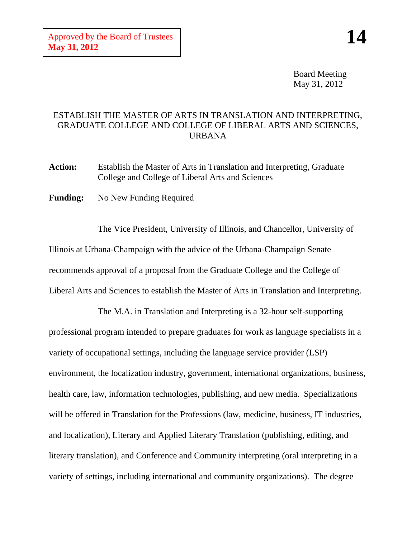Board Meeting May 31, 2012

## ESTABLISH THE MASTER OF ARTS IN TRANSLATION AND INTERPRETING, GRADUATE COLLEGE AND COLLEGE OF LIBERAL ARTS AND SCIENCES, URBANA

**Action:** Establish the Master of Arts in Translation and Interpreting, Graduate College and College of Liberal Arts and Sciences

Funding: No New Funding Required

The Vice President, University of Illinois, and Chancellor, University of Illinois at Urbana-Champaign with the advice of the Urbana-Champaign Senate recommends approval of a proposal from the Graduate College and the College of Liberal Arts and Sciences to establish the Master of Arts in Translation and Interpreting.

The M.A. in Translation and Interpreting is a 32-hour self-supporting professional program intended to prepare graduates for work as language specialists in a variety of occupational settings, including the language service provider (LSP) environment, the localization industry, government, international organizations, business, health care, law, information technologies, publishing, and new media. Specializations will be offered in Translation for the Professions (law, medicine, business, IT industries, and localization), Literary and Applied Literary Translation (publishing, editing, and literary translation), and Conference and Community interpreting (oral interpreting in a variety of settings, including international and community organizations). The degree